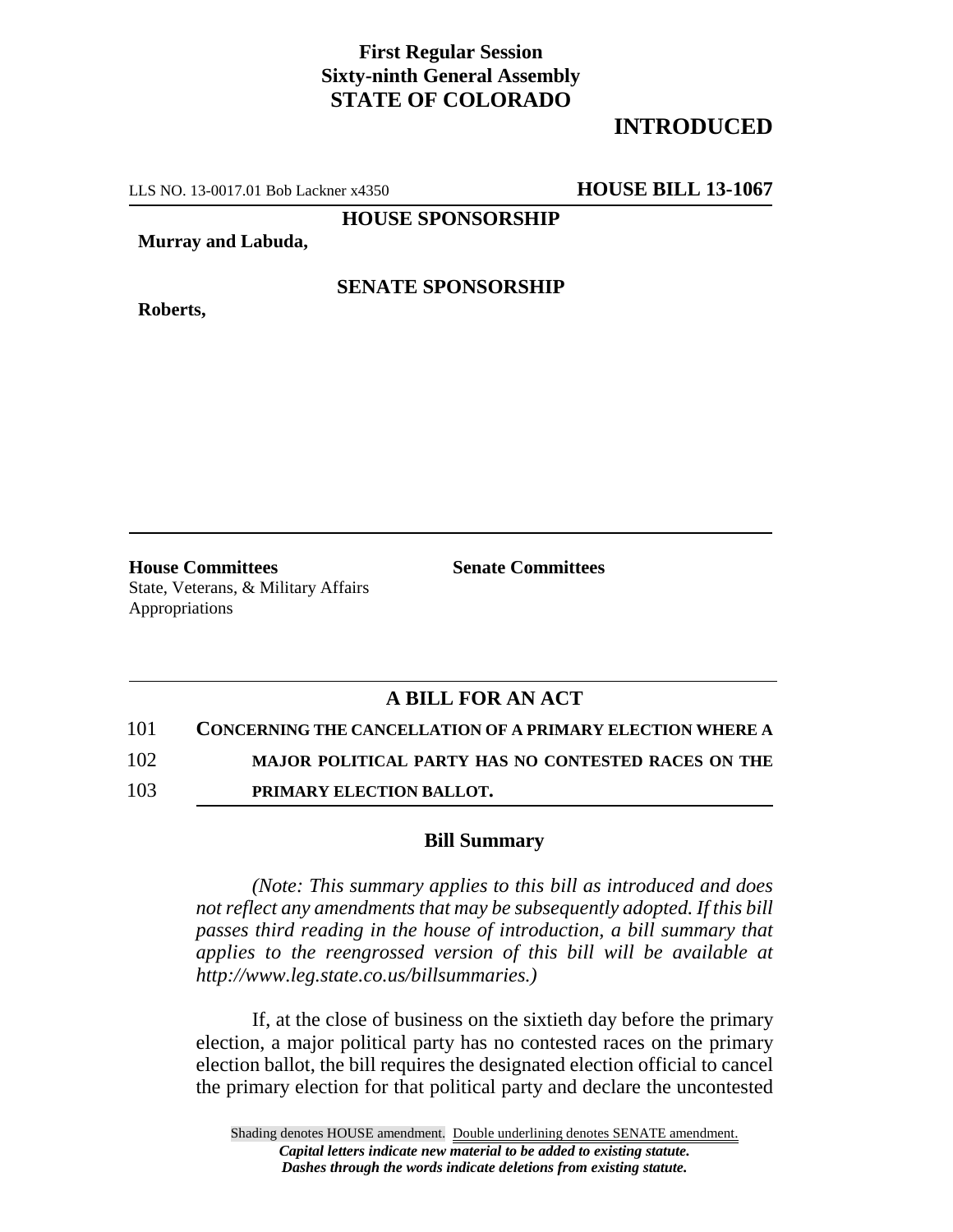## **First Regular Session Sixty-ninth General Assembly STATE OF COLORADO**

# **INTRODUCED**

LLS NO. 13-0017.01 Bob Lackner x4350 **HOUSE BILL 13-1067**

**HOUSE SPONSORSHIP**

**Murray and Labuda,**

**Roberts,**

#### **SENATE SPONSORSHIP**

**House Committees Senate Committees** State, Veterans, & Military Affairs

Appropriations

### **A BILL FOR AN ACT**

101 **CONCERNING THE CANCELLATION OF A PRIMARY ELECTION WHERE A**

102 **MAJOR POLITICAL PARTY HAS NO CONTESTED RACES ON THE**

103 **PRIMARY ELECTION BALLOT.**

#### **Bill Summary**

*(Note: This summary applies to this bill as introduced and does not reflect any amendments that may be subsequently adopted. If this bill passes third reading in the house of introduction, a bill summary that applies to the reengrossed version of this bill will be available at http://www.leg.state.co.us/billsummaries.)*

If, at the close of business on the sixtieth day before the primary election, a major political party has no contested races on the primary election ballot, the bill requires the designated election official to cancel the primary election for that political party and declare the uncontested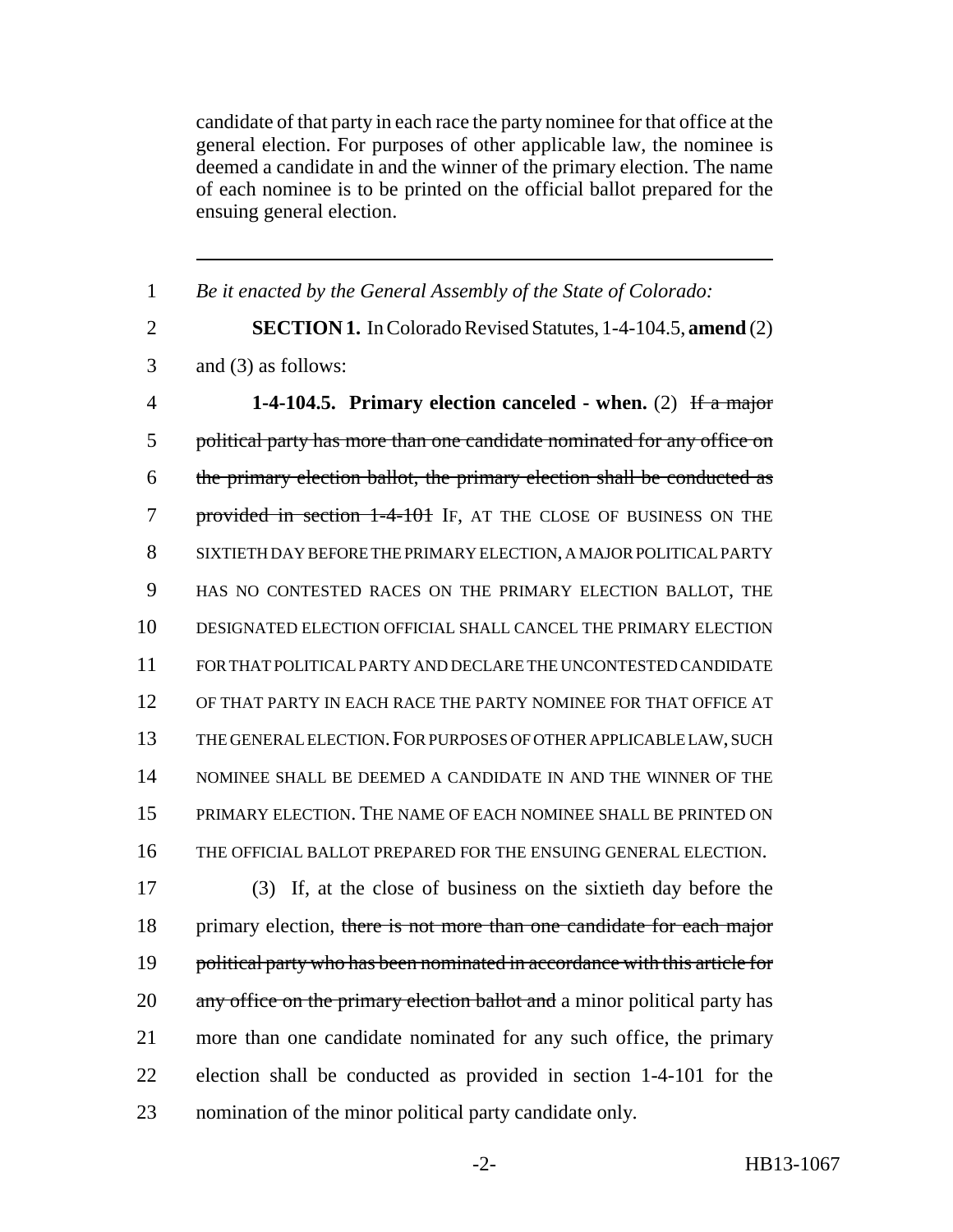candidate of that party in each race the party nominee for that office at the general election. For purposes of other applicable law, the nominee is deemed a candidate in and the winner of the primary election. The name of each nominee is to be printed on the official ballot prepared for the ensuing general election.

 *Be it enacted by the General Assembly of the State of Colorado:* **SECTION 1.** In Colorado Revised Statutes, 1-4-104.5, **amend** (2) and (3) as follows: **1-4-104.5. Primary election canceled - when.** (2) If a major political party has more than one candidate nominated for any office on the primary election ballot, the primary election shall be conducted as 7 provided in section 1-4-101 IF, AT THE CLOSE OF BUSINESS ON THE SIXTIETH DAY BEFORE THE PRIMARY ELECTION, A MAJOR POLITICAL PARTY HAS NO CONTESTED RACES ON THE PRIMARY ELECTION BALLOT, THE DESIGNATED ELECTION OFFICIAL SHALL CANCEL THE PRIMARY ELECTION FOR THAT POLITICAL PARTY AND DECLARE THE UNCONTESTED CANDIDATE OF THAT PARTY IN EACH RACE THE PARTY NOMINEE FOR THAT OFFICE AT THE GENERAL ELECTION.FOR PURPOSES OF OTHER APPLICABLE LAW, SUCH NOMINEE SHALL BE DEEMED A CANDIDATE IN AND THE WINNER OF THE PRIMARY ELECTION. THE NAME OF EACH NOMINEE SHALL BE PRINTED ON THE OFFICIAL BALLOT PREPARED FOR THE ENSUING GENERAL ELECTION. (3) If, at the close of business on the sixtieth day before the 18 primary election, there is not more than one candidate for each major 19 political party who has been nominated in accordance with this article for 20 any office on the primary election ballot and a minor political party has more than one candidate nominated for any such office, the primary

 election shall be conducted as provided in section 1-4-101 for the nomination of the minor political party candidate only.